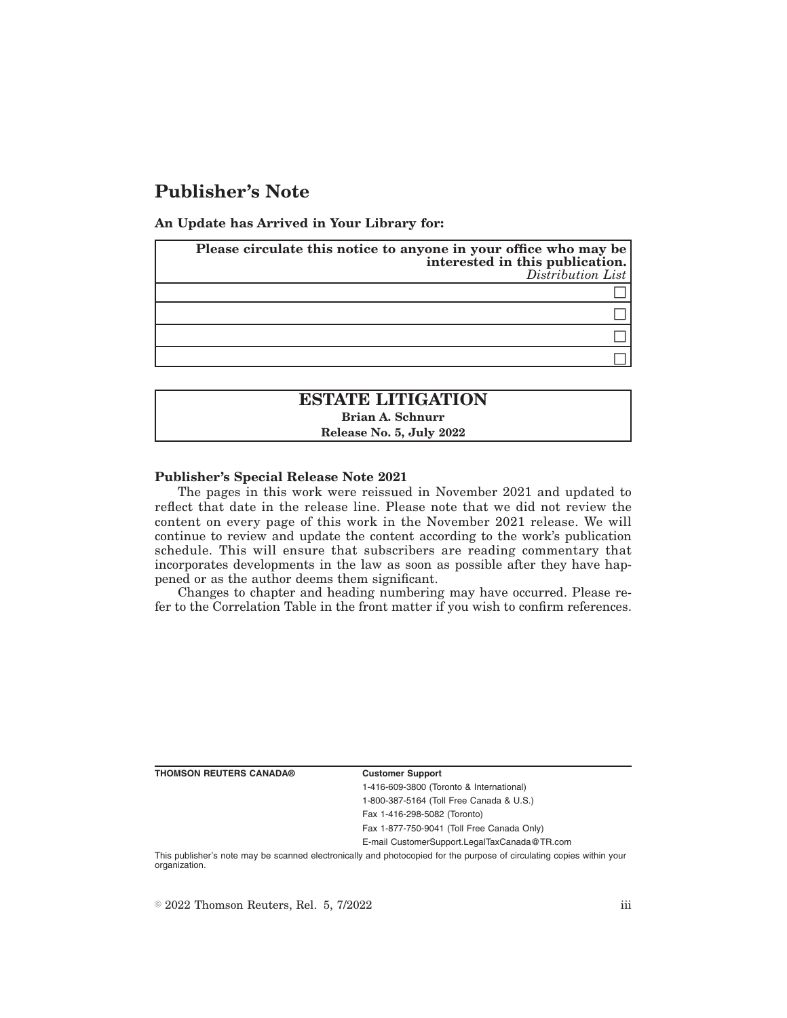# **Publisher's Note**

**An Update has Arrived in Your Library for:**

| Please circulate this notice to anyone in your office who may be<br>interested in this publication.<br>$Distriolution$ List |
|-----------------------------------------------------------------------------------------------------------------------------|
|                                                                                                                             |
|                                                                                                                             |
|                                                                                                                             |
|                                                                                                                             |

# **ESTATE LITIGATION Brian A. Schnurr Release No. 5, July 2022**

### **Publisher's Special Release Note 2021**

The pages in this work were reissued in November 2021 and updated to reflect that date in the release line. Please note that we did not review the content on every page of this work in the November 2021 release. We will continue to review and update the content according to the work's publication schedule. This will ensure that subscribers are reading commentary that incorporates developments in the law as soon as possible after they have happened or as the author deems them significant.

Changes to chapter and heading numbering may have occurred. Please refer to the Correlation Table in the front matter if you wish to confirm references.

**THOMSON REUTERS CANADA® Customer Support**

1-416-609-3800 (Toronto & International) 1-800-387-5164 (Toll Free Canada & U.S.)

Fax 1-416-298-5082 (Toronto)

Fax 1-877-750-9041 (Toll Free Canada Only)

E-mail CustomerSupport.LegalTaxCanada@TR.com

This publisher's note may be scanned electronically and photocopied for the purpose of circulating copies within your organization.

 $\degree$  2022 Thomson Reuters, Rel. 5, 7/2022 iii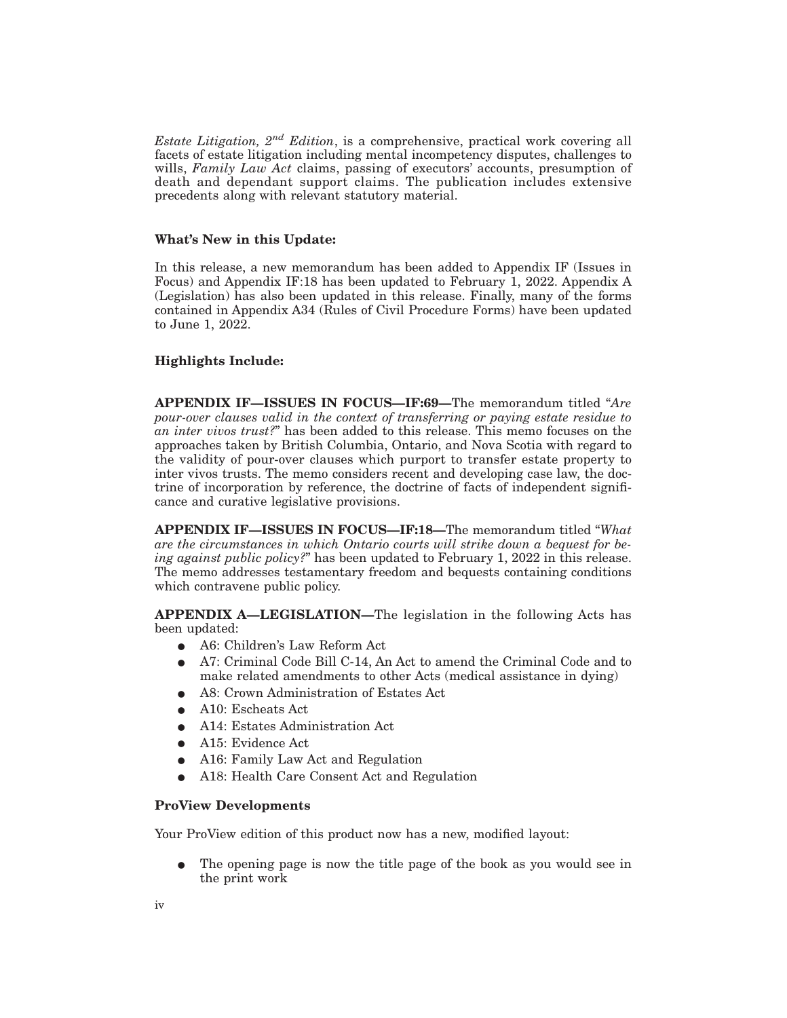*Estate Litigation, 2nd Edition*, is a comprehensive, practical work covering all facets of estate litigation including mental incompetency disputes, challenges to wills, *Family Law Act* claims, passing of executors' accounts, presumption of death and dependant support claims. The publication includes extensive precedents along with relevant statutory material.

### **What's New in this Update:**

In this release, a new memorandum has been added to Appendix IF (Issues in Focus) and Appendix IF:18 has been updated to February 1, 2022. Appendix A (Legislation) has also been updated in this release. Finally, many of the forms contained in Appendix A34 (Rules of Civil Procedure Forms) have been updated to June 1, 2022.

# **Highlights Include:**

**APPENDIX IF—ISSUES IN FOCUS—IF:69—**The memorandum titled "*Are pour-over clauses valid in the context of transferring or paying estate residue to an inter vivos trust?*" has been added to this release. This memo focuses on the approaches taken by British Columbia, Ontario, and Nova Scotia with regard to the validity of pour-over clauses which purport to transfer estate property to inter vivos trusts. The memo considers recent and developing case law, the doctrine of incorporation by reference, the doctrine of facts of independent significance and curative legislative provisions.

**APPENDIX IF—ISSUES IN FOCUS—IF:18—**The memorandum titled "*What are the circumstances in which Ontario courts will strike down a bequest for being against public policy?*" has been updated to February 1, 2022 in this release. The memo addresses testamentary freedom and bequests containing conditions which contravene public policy.

**APPENDIX A—LEGISLATION—**The legislation in the following Acts has been updated:

- A6: Children's Law Reform Act
- E A7: Criminal Code Bill C-14, An Act to amend the Criminal Code and to make related amendments to other Acts (medical assistance in dying)
- E A8: Crown Administration of Estates Act
- $\bullet$  A10: Escheats Act
- E A14: Estates Administration Act
- A15: Evidence Act
- A16: Family Law Act and Regulation
- A18: Health Care Consent Act and Regulation

### **ProView Developments**

Your ProView edition of this product now has a new, modified layout:

E The opening page is now the title page of the book as you would see in the print work